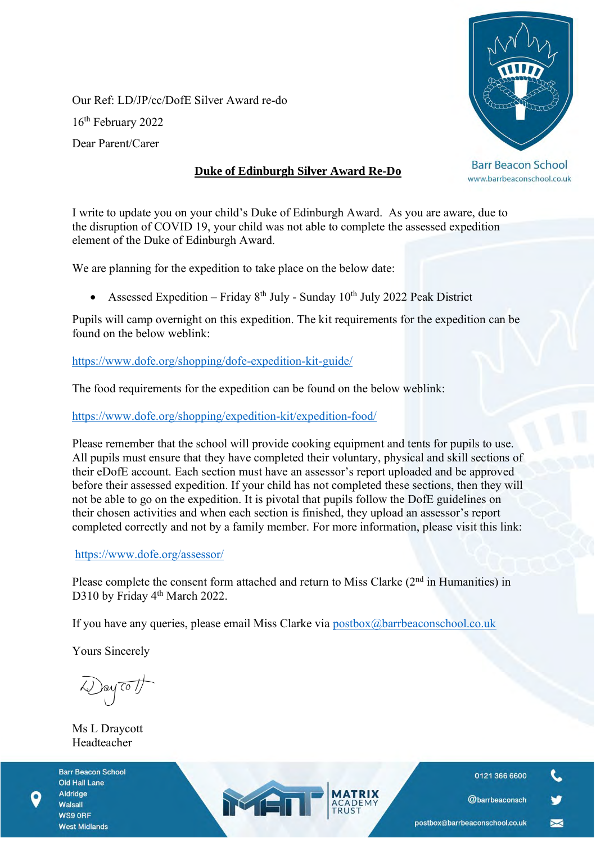Our Ref: LD/JP/cc/DofE Silver Award re-do 16th February 2022 Dear Parent/Carer

## **Duke of Edinburgh Silver Award Re-Do**

**Barr Beacon School** www.barrbeaconschool.co.uk

I write to update you on your child's Duke of Edinburgh Award. As you are aware, due to the disruption of COVID 19, your child was not able to complete the assessed expedition element of the Duke of Edinburgh Award.

We are planning for the expedition to take place on the below date:

Assessed Expedition – Friday  $8<sup>th</sup>$  July - Sunday 10<sup>th</sup> July 2022 Peak District

Pupils will camp overnight on this expedition. The kit requirements for the expedition can be found on the below weblink:

<https://www.dofe.org/shopping/dofe-expedition-kit-guide/>

The food requirements for the expedition can be found on the below weblink:

<https://www.dofe.org/shopping/expedition-kit/expedition-food/>

Please remember that the school will provide cooking equipment and tents for pupils to use. All pupils must ensure that they have completed their voluntary, physical and skill sections of their eDofE account. Each section must have an assessor's report uploaded and be approved before their assessed expedition. If your child has not completed these sections, then they will not be able to go on the expedition. It is pivotal that pupils follow the DofE guidelines on their chosen activities and when each section is finished, they upload an assessor's report completed correctly and not by a family member. For more information, please visit this link:

<https://www.dofe.org/assessor/>

Please complete the consent form attached and return to Miss Clarke  $(2<sup>nd</sup>$  in Humanities) in D310 by Friday 4<sup>th</sup> March 2022.

If you have any queries, please email Miss Clarke via [postbox@barrbeaconschool.co.uk](mailto:postbox@barrbeaconschool.co.uk)

MEN

Yours Sincerely

Day To 1

Ms L Draycott Headteacher

**Barr Beacon School Old Hall Lane** Aldridge Walsall WS9 ORF **West Midlands** 

0121 366 6600

@barrbeaconsch